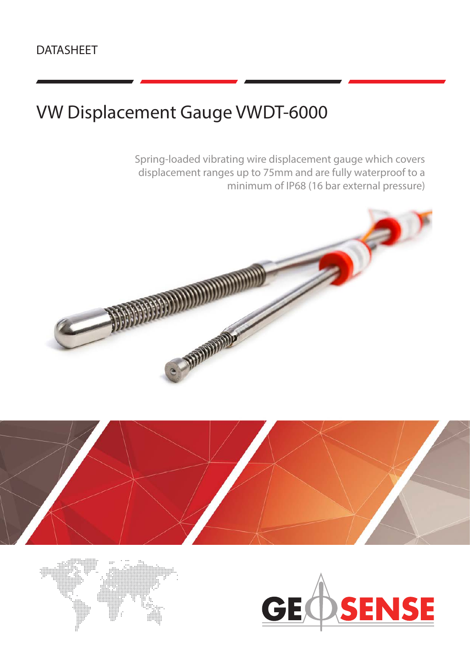# VW Displacement Gauge VWDT-6000

Spring-loaded vibrating wire displacement gauge which covers displacement ranges up to 75mm and are fully waterproof to a minimum of IP68 (16 bar external pressure)







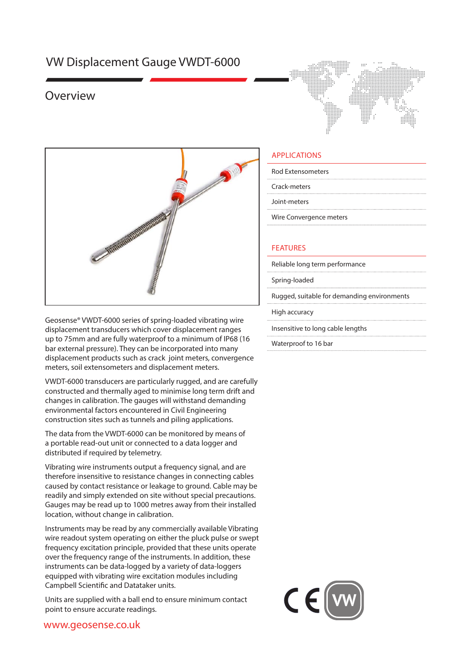## VW Displacement Gauge VWDT-6000

### Overview





Geosense® VWDT-6000 series of spring-loaded vibrating wire displacement transducers which cover displacement ranges up to 75mm and are fully waterproof to a minimum of IP68 (16 bar external pressure). They can be incorporated into many displacement products such as crack joint meters, convergence meters, soil extensometers and displacement meters.

VWDT-6000 transducers are particularly rugged, and are carefully constructed and thermally aged to minimise long term drift and changes in calibration. The gauges will withstand demanding environmental factors encountered in Civil Engineering construction sites such as tunnels and piling applications.

The data from the VWDT-6000 can be monitored by means of a portable read-out unit or connected to a data logger and distributed if required by telemetry.

Vibrating wire instruments output a frequency signal, and are therefore insensitive to resistance changes in connecting cables caused by contact resistance or leakage to ground. Cable may be readily and simply extended on site without special precautions. Gauges may be read up to 1000 metres away from their installed location, without change in calibration.

Instruments may be read by any commercially available Vibrating wire readout system operating on either the pluck pulse or swept frequency excitation principle, provided that these units operate over the frequency range of the instruments. In addition, these instruments can be data-logged by a variety of data-loggers equipped with vibrating wire excitation modules including Campbell Scientific and Datataker units.

Units are supplied with a ball end to ensure minimum contact point to ensure accurate readings.

#### APPLICATIONS

Rod Extensometers

Crack-meters

Joint-meters

Wire Convergence meters

#### FEATURES

Reliable long term performance

Spring-loaded

Rugged, suitable for demanding environments

High accuracy

Insensitive to long cable lengths

Waterproof to 16 bar



#### www.geosense.co.uk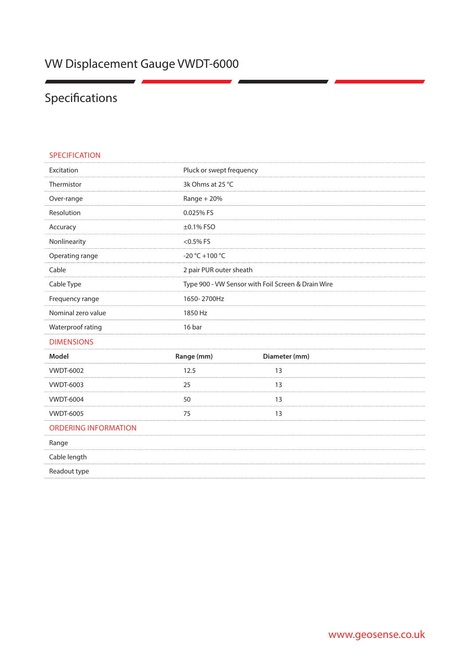## Specifications

| <b>SPECIFICATION</b>        |                                                    |               |
|-----------------------------|----------------------------------------------------|---------------|
| Excitation                  | Pluck or swept frequency                           |               |
| Thermistor                  | 3k Ohms at 25 °C                                   |               |
| Over-range                  | $Range + 20%$                                      |               |
| Resolution                  | 0.025% FS                                          |               |
| Accuracy                    | $\pm 0.1\%$ FSO                                    |               |
| Nonlinearity                | $<$ 0.5% FS                                        |               |
| Operating range             | -20 °C +100 °C                                     |               |
| Cable                       | 2 pair PUR outer sheath                            |               |
| Cable Type                  | Type 900 - VW Sensor with Foil Screen & Drain Wire |               |
| Frequency range             | 1650-2700Hz                                        |               |
| Nominal zero value          | 1850 Hz                                            |               |
| Waterproof rating           | 16 bar                                             |               |
| <b>DIMENSIONS</b>           |                                                    |               |
| Model                       | Range (mm)                                         | Diameter (mm) |
| <b>VWDT-6002</b>            | 12.5                                               | 13            |
| <b>VWDT-6003</b>            | 25                                                 | 13            |
| <b>VWDT-6004</b>            | 50                                                 | 13            |
| <b>VWDT-6005</b>            | 75                                                 | 13            |
| <b>ORDERING INFORMATION</b> |                                                    |               |
| Range                       |                                                    |               |
| Cable length                |                                                    |               |
| Readout type                |                                                    |               |
|                             |                                                    |               |